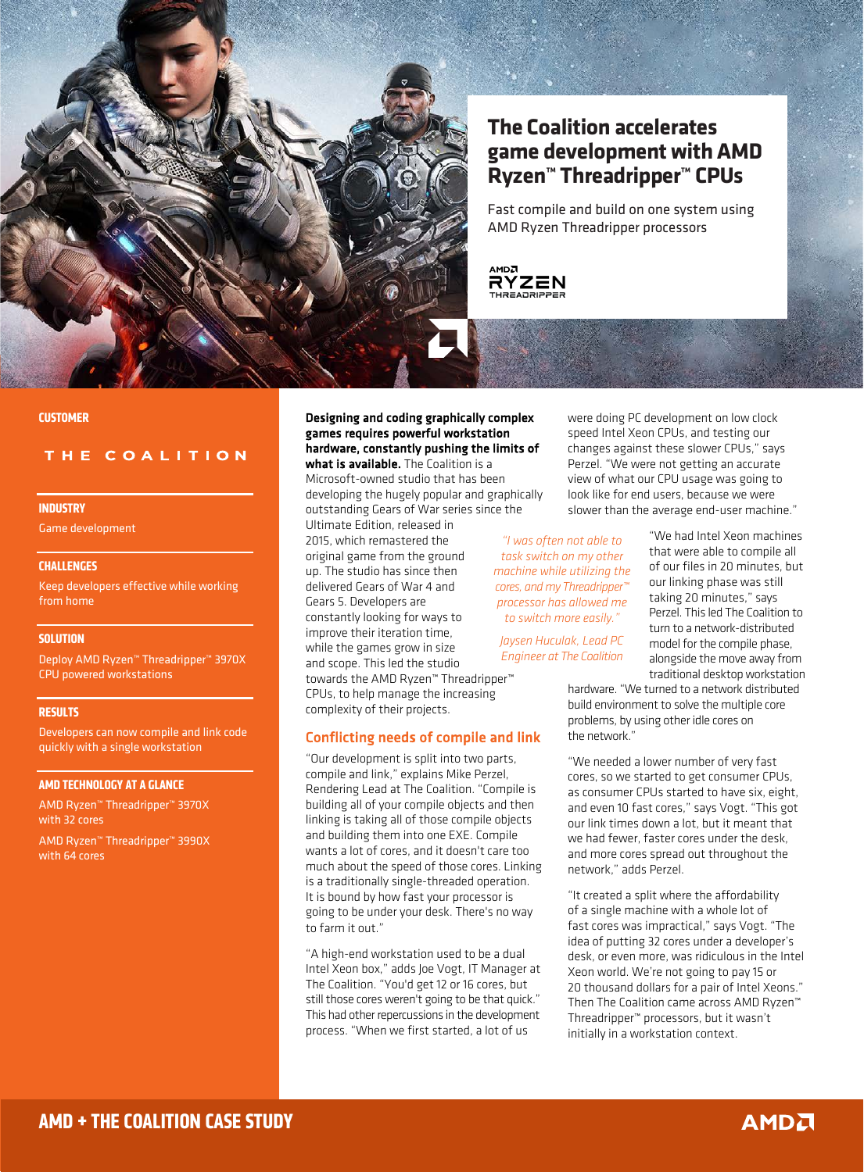

# **The Coalition accelerates game development with AMD Ryzen™ Threadripper™ CPUs**

Fast compile and build on one system using AMD Ryzen Threadripper processors

**AMDA RYZEN** 

#### **CUSTOMER**

# THE COALITION

#### **INDUSTRY**

Game development

#### **CHALLENGES**

Keep developers effective while working from home

## **SOLUTION**

Deploy AMD Ryzen™ Threadripper™ 3970X CPU powered workstations

### **RESULTS**

Developers can now compile and link code quickly with a single workstation

#### **AMD TECHNOLOGY AT A GLANCE**

AMD Ryzen™ Threadripper™ 3970X with 32 cores

AMD Ryzen™ Threadripper™ 3990X with 64 cores

# Designing and coding graphically complex games requires powerful workstation hardware, constantly pushing the limits of

what is available. The Coalition is a Microsoft-owned studio that has been developing the hugely popular and graphically outstanding Gears of War series since the

Ultimate Edition, released in 2015, which remastered the original game from the ground up. The studio has since then delivered Gears of War 4 and Gears 5. Developers are constantly looking for ways to improve their iteration time, while the games grow in size and scope. This led the studio

towards the AMD Ryzen™ Threadripper™ CPUs, to help manage the increasing complexity of their projects.

## Conflicting needs of compile and link

"Our development is split into two parts, compile and link," explains Mike Perzel, Rendering Lead at The Coalition. "Compile is building all of your compile objects and then linking is taking all of those compile objects and building them into one EXE. Compile wants a lot of cores, and it doesn't care too much about the speed of those cores. Linking is a traditionally single-threaded operation. It is bound by how fast your processor is going to be under your desk. There's no way to farm it out."

"A high-end workstation used to be a dual Intel Xeon box," adds Joe Vogt, IT Manager at The Coalition. "You'd get 12 or 16 cores, but still those cores weren't going to be that quick." This had other repercussions in the development process. "When we first started, a lot of us

were doing PC development on low clock speed Intel Xeon CPUs, and testing our changes against these slower CPUs," says Perzel. "We were not getting an accurate view of what our CPU usage was going to look like for end users, because we were slower than the average end-user machine."

*"I was often not able to task switch on my other machine while utilizing the cores, and my Threadripper™ processor has allowed me to switch more easily."*

*Jaysen Huculak, Lead PC Engineer at The Coalition*

"We had Intel Xeon machines that were able to compile all of our files in 20 minutes, but our linking phase was still taking 20 minutes," says Perzel. This led The Coalition to turn to a network-distributed model for the compile phase, alongside the move away from traditional desktop workstation

hardware. "We turned to a network distributed build environment to solve the multiple core problems, by using other idle cores on the network."

"We needed a lower number of very fast cores, so we started to get consumer CPUs, as consumer CPUs started to have six, eight, and even 10 fast cores," says Vogt. "This got our link times down a lot, but it meant that we had fewer, faster cores under the desk, and more cores spread out throughout the network," adds Perzel.

"It created a split where the affordability of a single machine with a whole lot of fast cores was impractical," says Vogt. "The idea of putting 32 cores under a developer's desk, or even more, was ridiculous in the Intel Xeon world. We're not going to pay 15 or 20 thousand dollars for a pair of Intel Xeons." Then The Coalition came across AMD Ryzen™ Threadripper™ processors, but it wasn't initially in a workstation context.